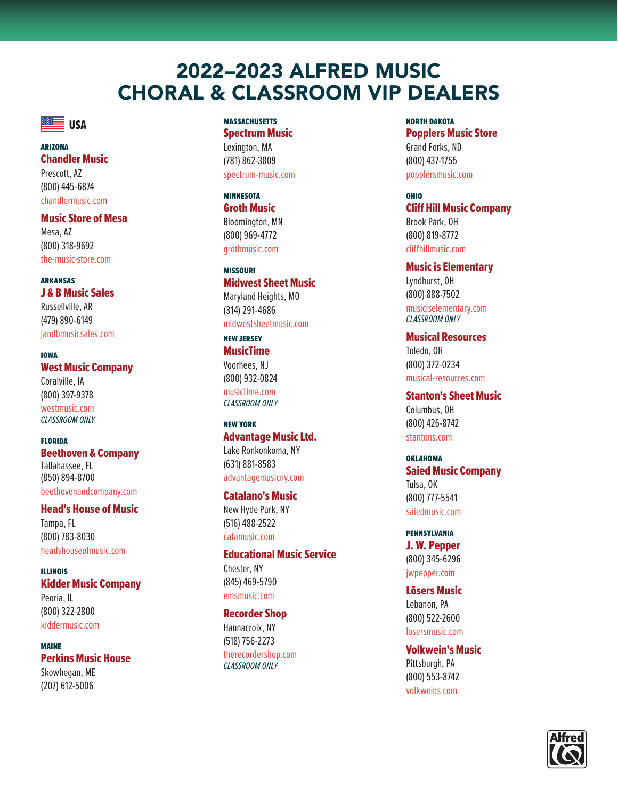# 2022–2023 ALFRED MUSIC CHORAL & CLASSROOM VIP DEALERS



#### arizona Chandler Music

Prescott, AZ (800) 445-6874 chandlermusic.com

# Music Store of Mesa

Mesa, AZ (800) 318-9692 the-music-store.com

#### arkansas J & B Music Sales

Russellville, AR (479) 890-6149 jandbmusicsales.com

iowa West Music Company Coralville, IA (800) 397-9378 westmusic.com *CLASSROOM ONLY*

florida Beethoven & Company Tallahassee, FL (850) 894-8700 beethovenandcompany.com

# Head's House of Music

Tampa, FL (800) 783-8030 headshouseofmusic.com

illinois Kidder Music Company Peoria, IL (800) 322-2800 kiddermusic.com

maine Perkins Music House Skowhegan, ME (207) 612-5006

### **MASSACHUSETTS**

Spectrum Music Lexington, MA (781) 862-3809 spectrum-music.com

minnesota Groth Music Bloomington, MN (800) 969-4772 grothmusic.com

# missouri Midwest Sheet Music Maryland Heights, MO

(314) 291-4686 midwestsheetmusic.com

# new jersey MusicTime Voorhees, NJ (800) 932-0824 musictime.com *CLASSROOM ONLY*

new york Advantage Music Ltd. Lake Ronkonkoma, NY (631) 881-8583 advantagemusicny.com

# Catalano's Music

New Hyde Park, NY (516) 488-2522 catamusic.com

Educational Music Service Chester, NY (845) 469-5790 emsmusic.com

### Recorder Shop

Hannacroix, NY (518) 756-2273 therecordershop.com *CLASSROOM ONLY*

north dakota Popplers Music Store Grand Forks, ND (800) 437-1755 popplersmusic.com

# ohio Cliff Hill Music Company Brook Park, OH (800) 819-8772 cliffhillmusic.com

Music is Elementary Lyndhurst, OH (800) 888-7502 musiciselementary.com *CLASSROOM ONLY*

Musical Resources Toledo, OH (800) 372-0234 musical-resources.com

Stanton's Sheet Music Columbus, OH (800) 426-8742 stantons.com

oklahoma Saied Music Company Tulsa, OK (800) 777-5541 saiedmusic.com

pennsylvania J. W. Pepper (800) 345-6296 jwpepper.com

Lōsers Music Lebanon, PA (800) 522-2600 losersmusic.com

Volkwein's Music Pittsburgh, PA (800) 553-8742 volkweins.com